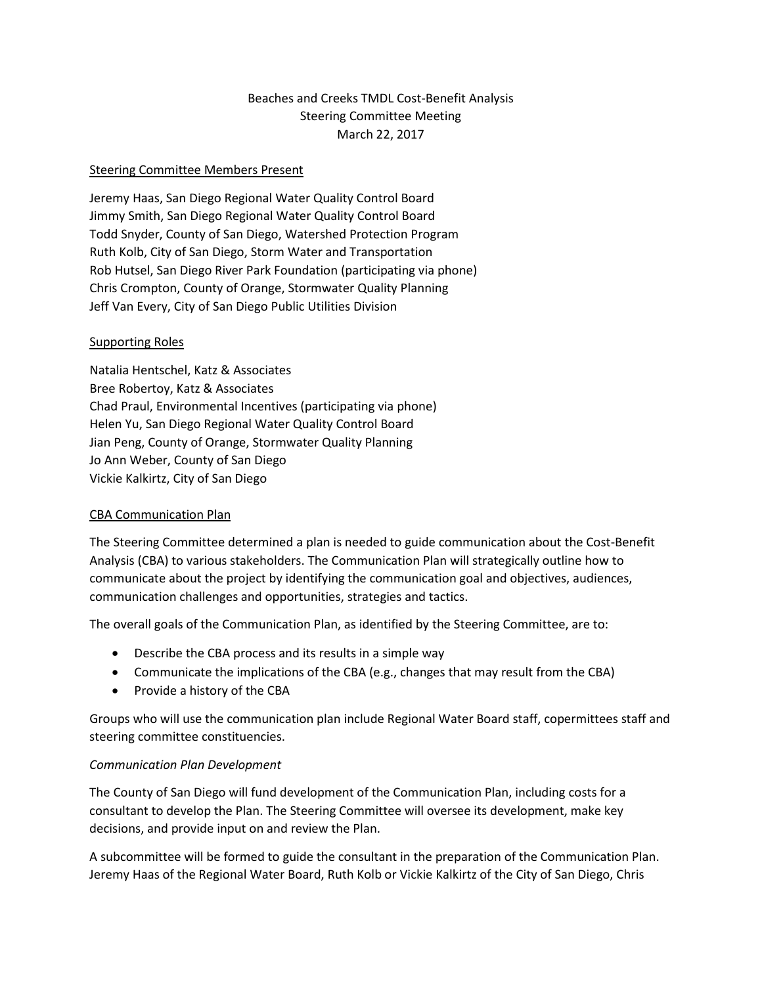# Beaches and Creeks TMDL Cost-Benefit Analysis Steering Committee Meeting March 22, 2017

#### Steering Committee Members Present

Jeremy Haas, San Diego Regional Water Quality Control Board Jimmy Smith, San Diego Regional Water Quality Control Board Todd Snyder, County of San Diego, Watershed Protection Program Ruth Kolb, City of San Diego, Storm Water and Transportation Rob Hutsel, San Diego River Park Foundation (participating via phone) Chris Crompton, County of Orange, Stormwater Quality Planning Jeff Van Every, City of San Diego Public Utilities Division

### Supporting Roles

Natalia Hentschel, Katz & Associates Bree Robertoy, Katz & Associates Chad Praul, Environmental Incentives (participating via phone) Helen Yu, San Diego Regional Water Quality Control Board Jian Peng, County of Orange, Stormwater Quality Planning Jo Ann Weber, County of San Diego Vickie Kalkirtz, City of San Diego

#### CBA Communication Plan

The Steering Committee determined a plan is needed to guide communication about the Cost-Benefit Analysis (CBA) to various stakeholders. The Communication Plan will strategically outline how to communicate about the project by identifying the communication goal and objectives, audiences, communication challenges and opportunities, strategies and tactics.

The overall goals of the Communication Plan, as identified by the Steering Committee, are to:

- Describe the CBA process and its results in a simple way
- Communicate the implications of the CBA (e.g., changes that may result from the CBA)
- Provide a history of the CBA

Groups who will use the communication plan include Regional Water Board staff, copermittees staff and steering committee constituencies.

#### *Communication Plan Development*

The County of San Diego will fund development of the Communication Plan, including costs for a consultant to develop the Plan. The Steering Committee will oversee its development, make key decisions, and provide input on and review the Plan.

A subcommittee will be formed to guide the consultant in the preparation of the Communication Plan. Jeremy Haas of the Regional Water Board, Ruth Kolb or Vickie Kalkirtz of the City of San Diego, Chris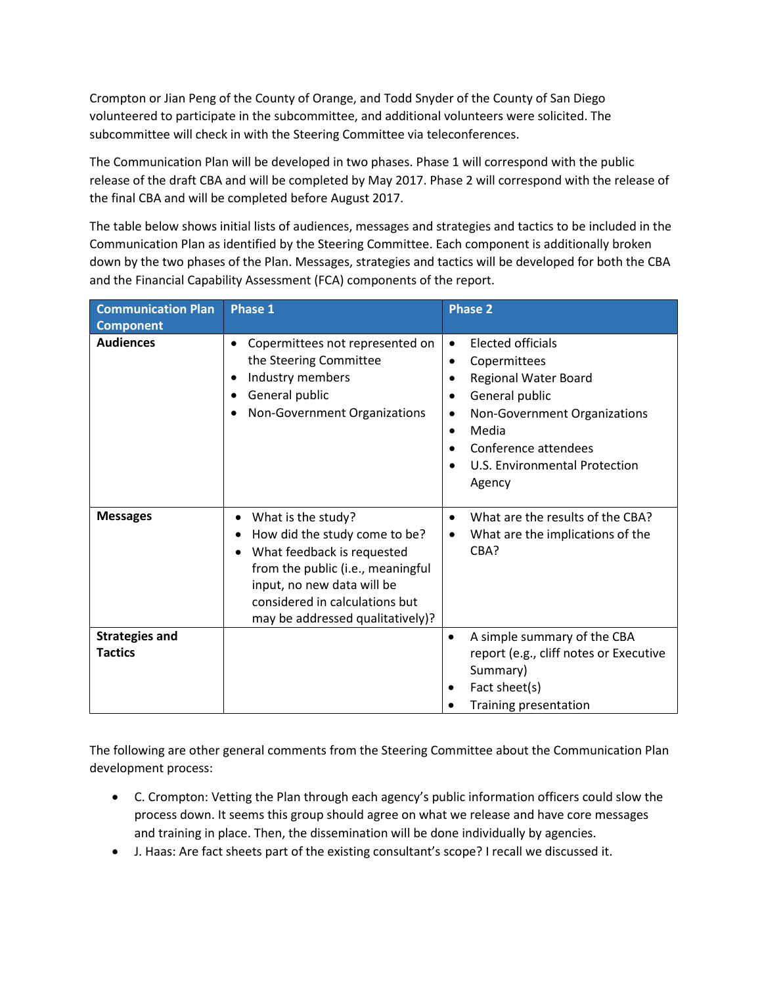Crompton or Jian Peng of the County of Orange, and Todd Snyder of the County of San Diego volunteered to participate in the subcommittee, and additional volunteers were solicited. The subcommittee will check in with the Steering Committee via teleconferences.

The Communication Plan will be developed in two phases. Phase 1 will correspond with the public release of the draft CBA and will be completed by May 2017. Phase 2 will correspond with the release of the final CBA and will be completed before August 2017.

The table below shows initial lists of audiences, messages and strategies and tactics to be included in the Communication Plan as identified by the Steering Committee. Each component is additionally broken down by the two phases of the Plan. Messages, strategies and tactics will be developed for both the CBA and the Financial Capability Assessment (FCA) components of the report.

| <b>Communication Plan</b>               | <b>Phase 1</b>                                                                                                                                                                                                                  | <b>Phase 2</b>                                                                                                                                                                                                                                                       |
|-----------------------------------------|---------------------------------------------------------------------------------------------------------------------------------------------------------------------------------------------------------------------------------|----------------------------------------------------------------------------------------------------------------------------------------------------------------------------------------------------------------------------------------------------------------------|
| <b>Component</b>                        |                                                                                                                                                                                                                                 |                                                                                                                                                                                                                                                                      |
| <b>Audiences</b>                        | Copermittees not represented on<br>٠<br>the Steering Committee<br>Industry members<br>٠<br>General public<br>$\bullet$<br>Non-Government Organizations                                                                          | <b>Elected officials</b><br>$\bullet$<br>Copermittees<br>$\bullet$<br>Regional Water Board<br>$\bullet$<br>General public<br>$\bullet$<br>Non-Government Organizations<br>٠<br>Media<br>$\bullet$<br>Conference attendees<br>U.S. Environmental Protection<br>Agency |
| <b>Messages</b>                         | What is the study?<br>٠<br>How did the study come to be?<br>What feedback is requested<br>from the public (i.e., meaningful<br>input, no new data will be<br>considered in calculations but<br>may be addressed qualitatively)? | What are the results of the CBA?<br>$\bullet$<br>What are the implications of the<br>$\bullet$<br>CBA?                                                                                                                                                               |
| <b>Strategies and</b><br><b>Tactics</b> |                                                                                                                                                                                                                                 | A simple summary of the CBA<br>$\bullet$<br>report (e.g., cliff notes or Executive<br>Summary)<br>Fact sheet(s)<br>Training presentation                                                                                                                             |

The following are other general comments from the Steering Committee about the Communication Plan development process:

- C. Crompton: Vetting the Plan through each agency's public information officers could slow the process down. It seems this group should agree on what we release and have core messages and training in place. Then, the dissemination will be done individually by agencies.
- J. Haas: Are fact sheets part of the existing consultant's scope? I recall we discussed it.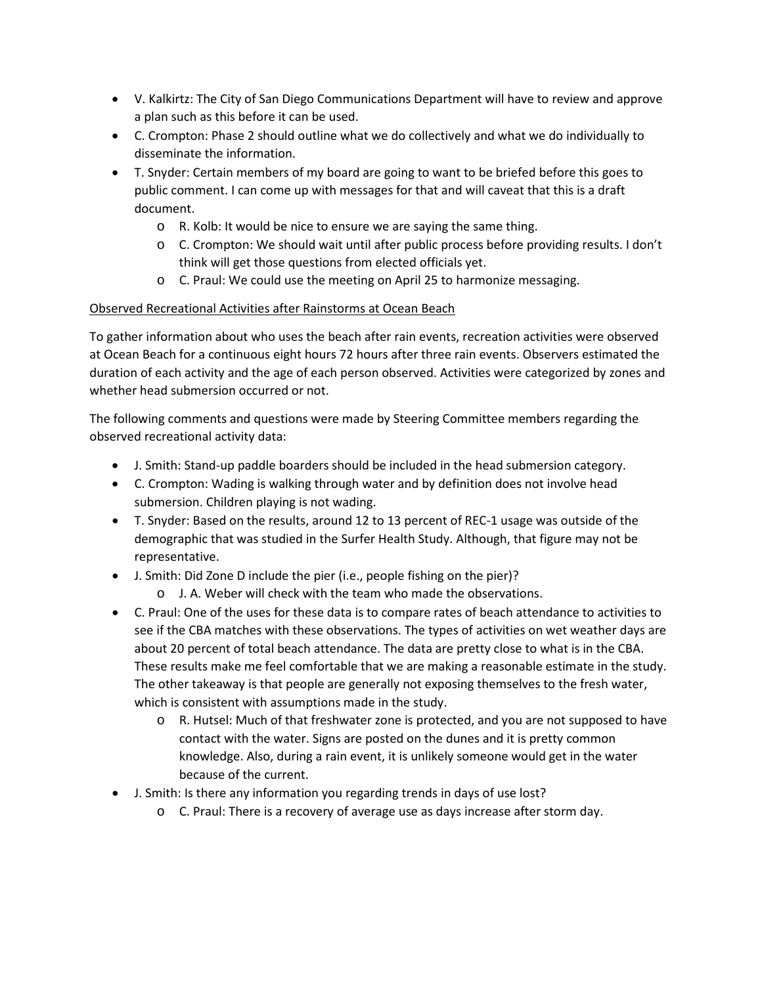- V. Kalkirtz: The City of San Diego Communications Department will have to review and approve a plan such as this before it can be used.
- C. Crompton: Phase 2 should outline what we do collectively and what we do individually to disseminate the information.
- T. Snyder: Certain members of my board are going to want to be briefed before this goes to public comment. I can come up with messages for that and will caveat that this is a draft document.
	- o R. Kolb: It would be nice to ensure we are saying the same thing.
	- o C. Crompton: We should wait until after public process before providing results. I don't think will get those questions from elected officials yet.
	- o C. Praul: We could use the meeting on April 25 to harmonize messaging.

## Observed Recreational Activities after Rainstorms at Ocean Beach

To gather information about who uses the beach after rain events, recreation activities were observed at Ocean Beach for a continuous eight hours 72 hours after three rain events. Observers estimated the duration of each activity and the age of each person observed. Activities were categorized by zones and whether head submersion occurred or not.

The following comments and questions were made by Steering Committee members regarding the observed recreational activity data:

- J. Smith: Stand-up paddle boarders should be included in the head submersion category.
- C. Crompton: Wading is walking through water and by definition does not involve head submersion. Children playing is not wading.
- T. Snyder: Based on the results, around 12 to 13 percent of REC-1 usage was outside of the demographic that was studied in the Surfer Health Study. Although, that figure may not be representative.
- J. Smith: Did Zone D include the pier (i.e., people fishing on the pier)?
	- o J. A. Weber will check with the team who made the observations.
- C. Praul: One of the uses for these data is to compare rates of beach attendance to activities to see if the CBA matches with these observations. The types of activities on wet weather days are about 20 percent of total beach attendance. The data are pretty close to what is in the CBA. These results make me feel comfortable that we are making a reasonable estimate in the study. The other takeaway is that people are generally not exposing themselves to the fresh water, which is consistent with assumptions made in the study.
	- o R. Hutsel: Much of that freshwater zone is protected, and you are not supposed to have contact with the water. Signs are posted on the dunes and it is pretty common knowledge. Also, during a rain event, it is unlikely someone would get in the water because of the current.
- J. Smith: Is there any information you regarding trends in days of use lost?
	- o C. Praul: There is a recovery of average use as days increase after storm day.